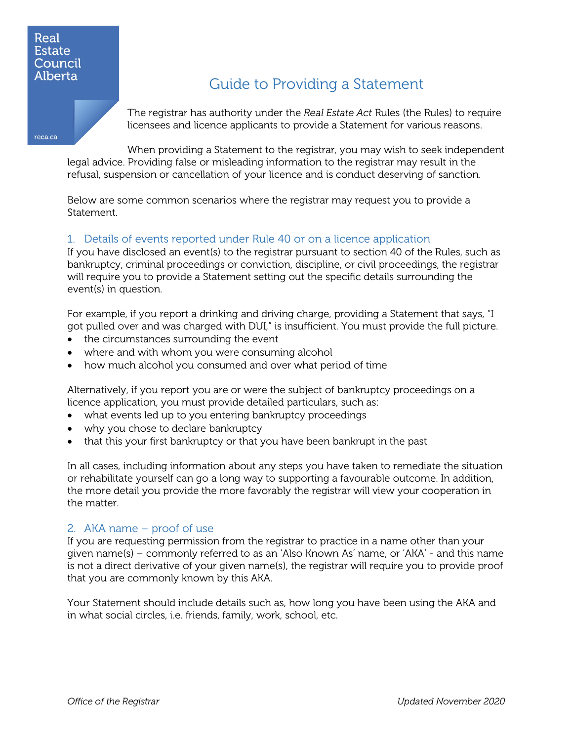## Real **Estate** Council Alberta

reca.ca

# Guide to Providing a Statement

The registrar has authority under the *Real Estate Act* Rules (the Rules) to require licensees and licence applicants to provide a Statement for various reasons.

When providing a Statement to the registrar, you may wish to seek independent legal advice. Providing false or misleading information to the registrar may result in the refusal, suspension or cancellation of your licence and is conduct deserving of sanction.

Below are some common scenarios where the registrar may request you to provide a Statement.

## 1. Details of events reported under Rule 40 or on a licence application

If you have disclosed an event(s) to the registrar pursuant to section 40 of the Rules, such as bankruptcy, criminal proceedings or conviction, discipline, or civil proceedings, the registrar will require you to provide a Statement setting out the specific details surrounding the event(s) in question.

For example, if you report a drinking and driving charge, providing a Statement that says, "I got pulled over and was charged with DUI," is insufficient. You must provide the full picture.

- the circumstances surrounding the event
- where and with whom you were consuming alcohol
- how much alcohol you consumed and over what period of time

Alternatively, if you report you are or were the subject of bankruptcy proceedings on a licence application, you must provide detailed particulars, such as:

- what events led up to you entering bankruptcy proceedings
- why you chose to declare bankruptcy
- that this your first bankruptcy or that you have been bankrupt in the past

In all cases, including information about any steps you have taken to remediate the situation or rehabilitate yourself can go a long way to supporting a favourable outcome. In addition, the more detail you provide the more favorably the registrar will view your cooperation in the matter.

#### 2. AKA name – proof of use

If you are requesting permission from the registrar to practice in a name other than your given name(s) – commonly referred to as an 'Also Known As' name, or 'AKA' - and this name is not a direct derivative of your given name(s), the registrar will require you to provide proof that you are commonly known by this AKA.

Your Statement should include details such as, how long you have been using the AKA and in what social circles, i.e. friends, family, work, school, etc.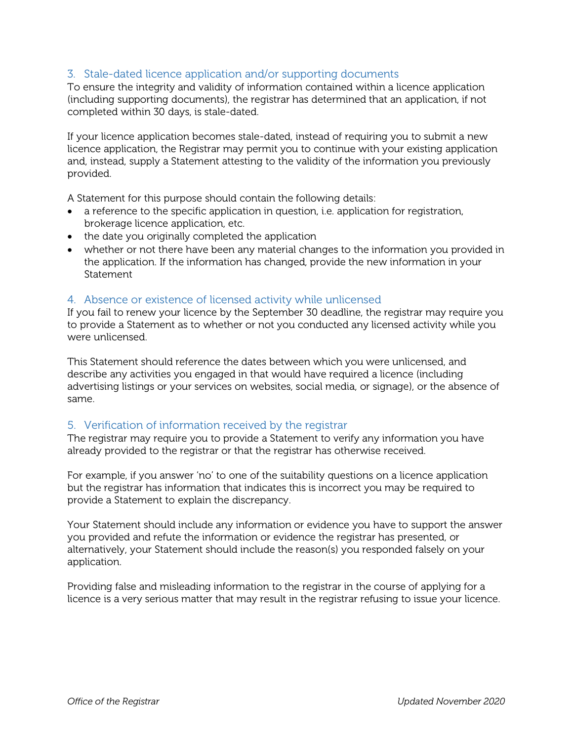## 3. Stale-dated licence application and/or supporting documents

To ensure the integrity and validity of information contained within a licence application (including supporting documents), the registrar has determined that an application, if not completed within 30 days, is stale-dated.

If your licence application becomes stale-dated, instead of requiring you to submit a new licence application, the Registrar may permit you to continue with your existing application and, instead, supply a Statement attesting to the validity of the information you previously provided.

A Statement for this purpose should contain the following details:

- a reference to the specific application in question, i.e. application for registration, brokerage licence application, etc.
- the date you originally completed the application
- whether or not there have been any material changes to the information you provided in the application. If the information has changed, provide the new information in your Statement

#### 4. Absence or existence of licensed activity while unlicensed

If you fail to renew your licence by the September 30 deadline, the registrar may require you to provide a Statement as to whether or not you conducted any licensed activity while you were unlicensed.

This Statement should reference the dates between which you were unlicensed, and describe any activities you engaged in that would have required a licence (including advertising listings or your services on websites, social media, or signage), or the absence of same.

#### 5. Verification of information received by the registrar

The registrar may require you to provide a Statement to verify any information you have already provided to the registrar or that the registrar has otherwise received.

For example, if you answer 'no' to one of the suitability questions on a licence application but the registrar has information that indicates this is incorrect you may be required to provide a Statement to explain the discrepancy.

Your Statement should include any information or evidence you have to support the answer you provided and refute the information or evidence the registrar has presented, or alternatively, your Statement should include the reason(s) you responded falsely on your application.

Providing false and misleading information to the registrar in the course of applying for a licence is a very serious matter that may result in the registrar refusing to issue your licence.